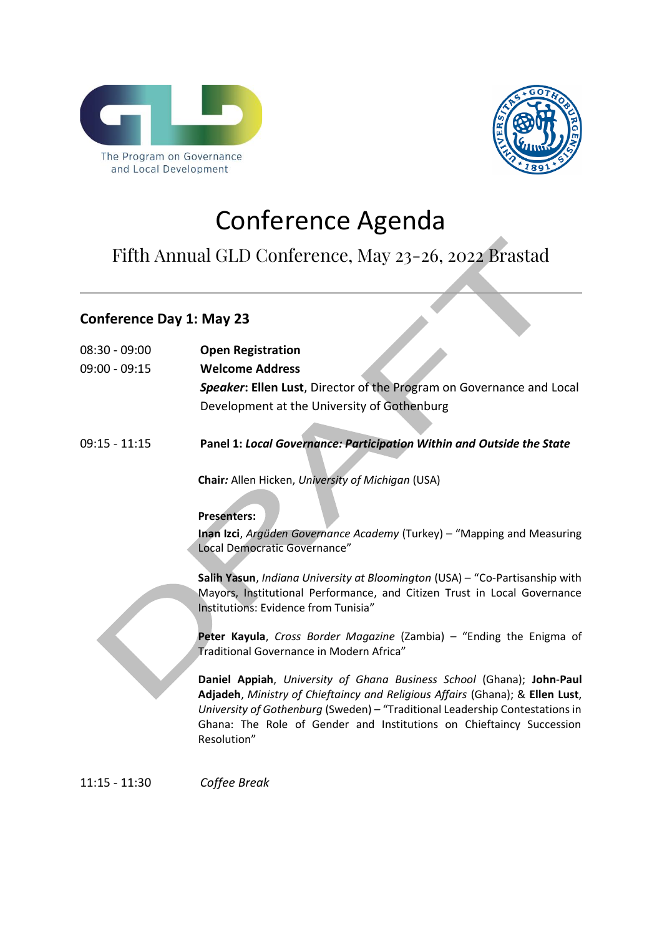



# Conference Agenda

## Fifth Annual GLD Conference, May 23-26, 2022 Brastad

## **Conference Day 1: May 23**

| $08:30 - 09:00$<br>$09:00 - 09:15$ | <b>Open Registration</b><br><b>Welcome Address</b><br>Speaker: Ellen Lust, Director of the Program on Governance and Local                                                                                                                                                                                                                                                                                                                                                                                                                                                                                                                                                                                                                                                                                                                  |
|------------------------------------|---------------------------------------------------------------------------------------------------------------------------------------------------------------------------------------------------------------------------------------------------------------------------------------------------------------------------------------------------------------------------------------------------------------------------------------------------------------------------------------------------------------------------------------------------------------------------------------------------------------------------------------------------------------------------------------------------------------------------------------------------------------------------------------------------------------------------------------------|
|                                    | Development at the University of Gothenburg                                                                                                                                                                                                                                                                                                                                                                                                                                                                                                                                                                                                                                                                                                                                                                                                 |
| $09:15 - 11:15$                    | Panel 1: Local Governance: Participation Within and Outside the State                                                                                                                                                                                                                                                                                                                                                                                                                                                                                                                                                                                                                                                                                                                                                                       |
|                                    | Chair: Allen Hicken, University of Michigan (USA)<br><b>Presenters:</b><br>Inan Izci, Argüden Governance Academy (Turkey) - "Mapping and Measuring<br>Local Democratic Governance"<br>Salih Yasun, Indiana University at Bloomington (USA) - "Co-Partisanship with<br>Mayors, Institutional Performance, and Citizen Trust in Local Governance<br>Institutions: Evidence from Tunisia"<br>Peter Kayula, Cross Border Magazine (Zambia) - "Ending the Enigma of<br>Traditional Governance in Modern Africa"<br>Daniel Appiah, University of Ghana Business School (Ghana); John-Paul<br>Adjadeh, Ministry of Chieftaincy and Religious Affairs (Ghana); & Ellen Lust,<br>University of Gothenburg (Sweden) - "Traditional Leadership Contestations in<br>Ghana: The Role of Gender and Institutions on Chieftaincy Succession<br>Resolution" |

11:15 - 11:30 *Coffee Break*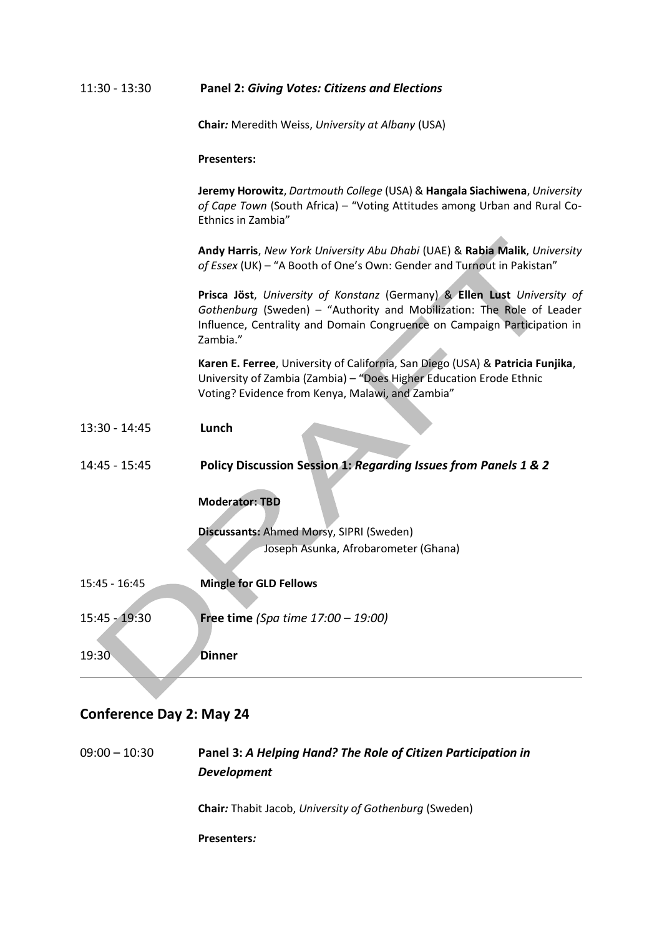#### 11:30 - 13:30 **Panel 2:** *Giving Votes: Citizens and Elections*

**Chair***:* Meredith Weiss, *University at Albany* (USA)

**Presenters:**

**Jeremy Horowitz**, *Dartmouth College* (USA) & **Hangala Siachiwena**, *University of Cape Town* (South Africa) – "Voting Attitudes among Urban and Rural Co-Ethnics in Zambia"

**Andy Harris**, *New York University Abu Dhabi* (UAE) & **Rabia Malik**, *University of Essex* (UK) – "A Booth of One's Own: Gender and Turnout in Pakistan"

**Prisca Jöst**, *University of Konstanz* (Germany) & **Ellen Lust** *University of Gothenburg* (Sweden) – "Authority and Mobilization: The Role of Leader Influence, Centrality and Domain Congruence on Campaign Participation in Zambia."

**Karen E. Ferree**, University of California, San Diego (USA) & **Patricia Funjika**, University of Zambia (Zambia) – "Does Higher Education Erode Ethnic Voting? Evidence from Kenya, Malawi, and Zambia"

- 13:30 14:45 **Lunch**
- 14:45 15:45 **Policy Discussion Session 1:** *Regarding Issues from Panels 1 & 2*

#### **Moderator: TBD**

**Discussants:** Ahmed Morsy, SIPRI (Sweden) Joseph Asunka, Afrobarometer (Ghana)

15:45 - 16:45 **Mingle for GLD Fellows** 15:45 - 19:30 **Free time** *(Spa time 17:00 – 19:00)*

19:30 **Dinner**

#### **Conference Day 2: May 24**

09:00 – 10:30 **Panel 3:** *A Helping Hand? The Role of Citizen Participation in Development* **Chair***:* Thabit Jacob, *University of Gothenburg* (Sweden) **Presenters***:*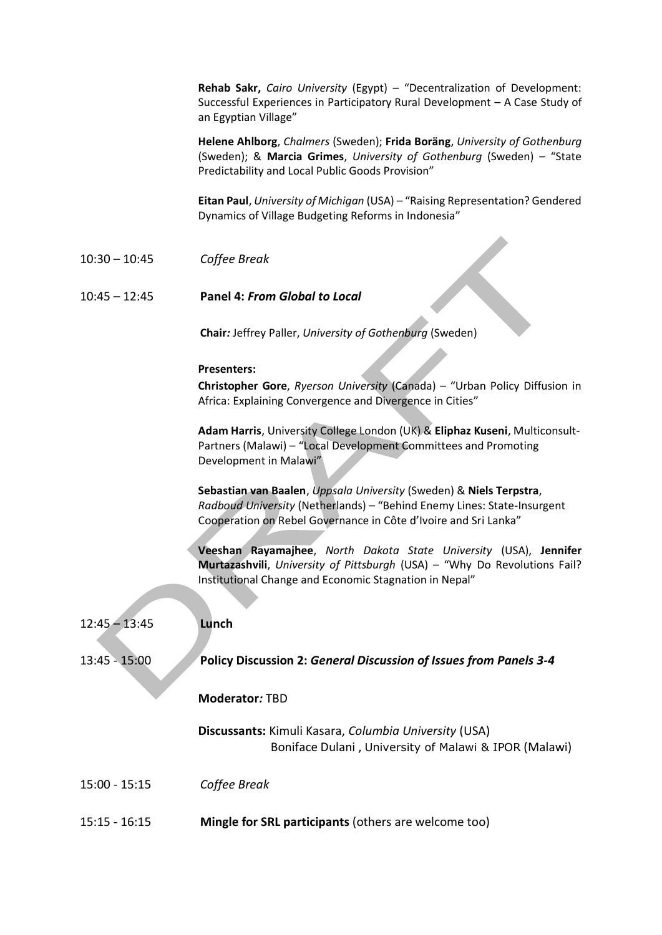**Rehab Sakr,** *Cairo University* (Egypt) – "Decentralization of Development: Successful Experiences in Participatory Rural Development – A Case Study of an Egyptian Village"

**Helene Ahlborg**, *Chalmers* (Sweden); **Frida Boräng**, *University of Gothenburg* (Sweden); & **Marcia Grimes**, *University of Gothenburg* (Sweden) – "State Predictability and Local Public Goods Provision"

**Eitan Paul**, *University of Michigan* (USA) – "Raising Representation? Gendered Dynamics of Village Budgeting Reforms in Indonesia"

10:30 – 10:45 *Coffee Break*

#### 10:45 – 12:45 **Panel 4:** *From Global to Local*

**Chair***:* Jeffrey Paller, *University of Gothenburg* (Sweden)

#### **Presenters:**

**Christopher Gore**, *Ryerson University* (Canada) – "Urban Policy Diffusion in Africa: Explaining Convergence and Divergence in Cities"

**Adam Harris**, University College London (UK) & **Eliphaz Kuseni**, Multiconsult-Partners (Malawi) – "Local Development Committees and Promoting Development in Malawi"

**Sebastian van Baalen**, *Uppsala University* (Sweden) & **Niels Terpstra**, *Radboud University* (Netherlands) – "Behind Enemy Lines: State-Insurgent Cooperation on Rebel Governance in Côte d'Ivoire and Sri Lanka"

**Veeshan Rayamajhee**, *North Dakota State University* (USA), **Jennifer Murtazashvili**, *University of Pittsburgh* (USA) – "Why Do Revolutions Fail? Institutional Change and Economic Stagnation in Nepal"

| $12:45 - 13:45$ | Lunch                                                                                                          |
|-----------------|----------------------------------------------------------------------------------------------------------------|
| $13:45 - 15:00$ | <b>Policy Discussion 2: General Discussion of Issues from Panels 3-4</b>                                       |
|                 | <b>Moderator: TBD</b>                                                                                          |
|                 | Discussants: Kimuli Kasara, Columbia University (USA)<br>Boniface Dulani, University of Malawi & IPOR (Malawi) |
| $15:00 - 15:15$ | Coffee Break                                                                                                   |
| $15:15 - 16:15$ | Mingle for SRL participants (others are welcome too)                                                           |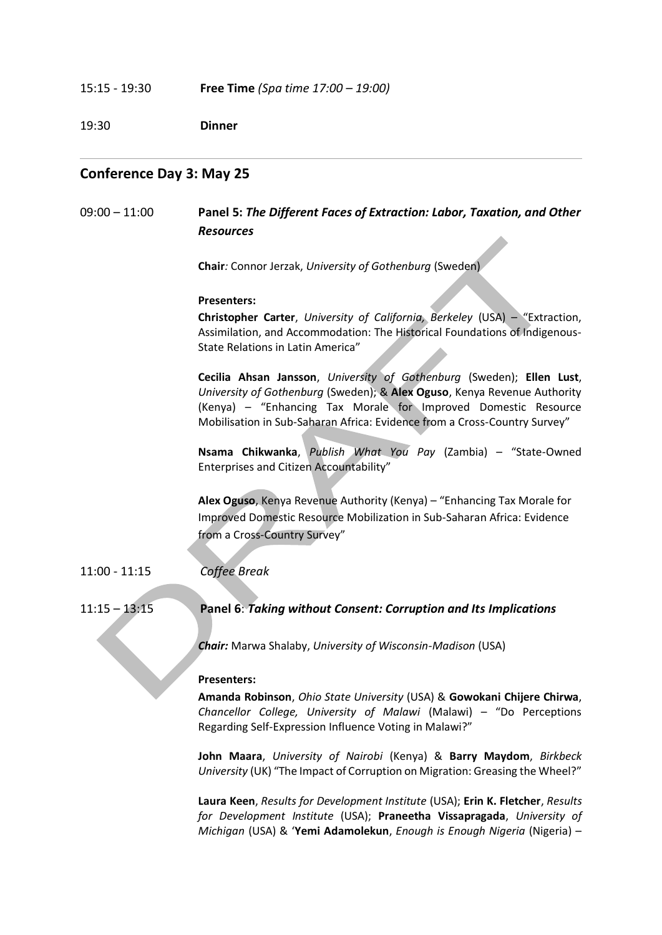#### 15:15 - 19:30 **Free Time** *(Spa time 17:00 – 19:00)*

19:30 **Dinner** 

#### **Conference Day 3: May 25**

09:00 – 11:00 **Panel 5:** *The Different Faces of Extraction: Labor, Taxation, and Other Resources*

**Chair***:* Connor Jerzak, *University of Gothenburg* (Sweden)

#### **Presenters:**

**Christopher Carter**, *University of California, Berkeley* (USA) – "Extraction, Assimilation, and Accommodation: The Historical Foundations of Indigenous-State Relations in Latin America"

**Cecilia Ahsan Jansson**, *University of Gothenburg* (Sweden); **Ellen Lust**, *University of Gothenburg* (Sweden); & **Alex Oguso**, Kenya Revenue Authority (Kenya) – "Enhancing Tax Morale for Improved Domestic Resource Mobilisation in Sub-Saharan Africa: Evidence from a Cross-Country Survey"

**Nsama Chikwanka**, *Publish What You Pay* (Zambia) – "State-Owned Enterprises and Citizen Accountability"

**Alex Oguso**, Kenya Revenue Authority (Kenya) – "Enhancing Tax Morale for Improved Domestic Resource Mobilization in Sub-Saharan Africa: Evidence from a Cross-Country Survey"

#### 11:00 - 11:15 *Coffee Break*

11:15 – 13:15 **Panel 6**: *Taking without Consent: Corruption and Its Implications*

*Chair:* Marwa Shalaby, *University of Wisconsin-Madison* (USA)

#### **Presenters:**

**Amanda Robinson**, *Ohio State University* (USA) & **Gowokani Chijere Chirwa**, *Chancellor College, University of Malawi* (Malawi) – "Do Perceptions Regarding Self-Expression Influence Voting in Malawi?"

**John Maara**, *University of Nairobi* (Kenya) & **Barry Maydom**, *Birkbeck University* (UK) "The Impact of Corruption on Migration: Greasing the Wheel?"

**Laura Keen**, *Results for Development Institute* (USA); **Erin K. Fletcher**, *Results for Development Institute* (USA); **Praneetha Vissapragada**, *University of Michigan* (USA) & '**Yemi Adamolekun**, *Enough is Enough Nigeria* (Nigeria) –